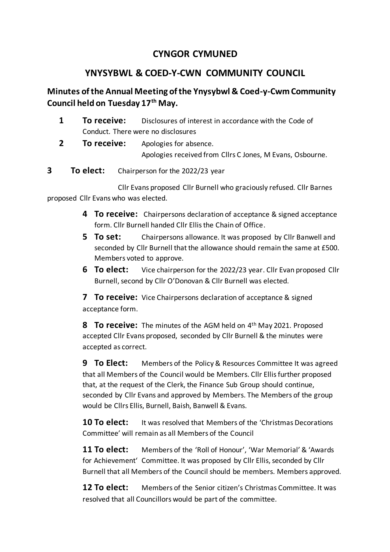## **CYNGOR CYMUNED**

## **YNYSYBWL & COED-Y-CWN COMMUNITY COUNCIL**

## **Minutes of the Annual Meeting of the Ynysybwl & Coed-y-Cwm Community Council held on Tuesday 17th May.**

- **1 To receive:** Disclosures of interest in accordance with the Code of Conduct. There were no disclosures
- **2 To receive:** Apologies for absence. Apologies received from Cllrs C Jones, M Evans, Osbourne.
- **3 To elect:** Chairperson for the 2022/23 year

Cllr Evans proposed Cllr Burnell who graciously refused. Cllr Barnes proposed Cllr Evans who was elected.

- **4 To receive:** Chairpersons declaration of acceptance & signed acceptance form. Cllr Burnell handed Cllr Ellis the Chain of Office.
- **5 To set:** Chairpersons allowance. It was proposed by Cllr Banwell and seconded by Cllr Burnell that the allowance should remain the same at £500. Members voted to approve.
- **6 To elect:** Vice chairperson for the 2022/23 year. Cllr Evan proposed Cllr Burnell, second by Cllr O'Donovan & Cllr Burnell was elected.

**7 To receive:** Vice Chairpersons declaration of acceptance & signed acceptance form.

**8 To receive:** The minutes of the AGM held on 4th May 2021. Proposed accepted Cllr Evans proposed, seconded by Cllr Burnell & the minutes were accepted as correct.

**9 To Elect:** Members of the Policy & Resources Committee It was agreed that all Members of the Council would be Members. Cllr Ellis further proposed that, at the request of the Clerk, the Finance Sub Group should continue, seconded by Cllr Evans and approved by Members. The Members of the group would be Cllrs Ellis, Burnell, Baish, Banwell & Evans.

**10 To elect:** It was resolved that Members of the 'Christmas Decorations Committee' will remain as all Members of the Council

**11 To elect:** Members of the 'Roll of Honour', 'War Memorial' & 'Awards for Achievement' Committee. It was proposed by Cllr Ellis, seconded by Cllr Burnell that all Members of the Council should be members. Members approved.

**12 To elect:** Members of the Senior citizen's Christmas Committee. It was resolved that all Councillors would be part of the committee.